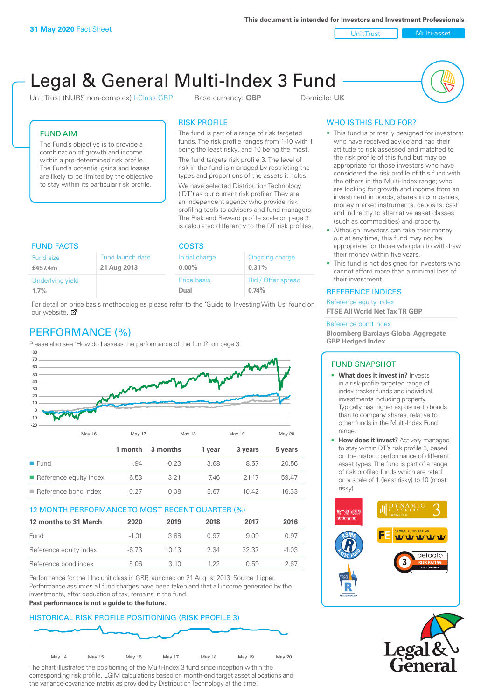Unit Trust Nulti-asset

# Legal & General Multi-Index 3 Fund

Unit Trust (NURS non-complex) I-Class GBP Base currency: **GBP** Domicile: UK



## FUND AIM

The Fund's objective is to provide a combination of growth and income within a pre-determined risk profile. The Fund's potential gains and losses are likely to be limited by the objective to stay within its particular risk profile.

#### RISK PROFILE

The fund is part of a range of risk targeted funds. The risk profile ranges from 1-10 with 1 being the least risky, and 10 being the most.

The fund targets risk profile 3. The level of risk in the fund is managed by restricting the types and proportions of the assets it holds. We have selected Distribution Technology ('DT') as our current risk profiler. They are an independent agency who provide risk profiling tools to advisers and fund managers. The Risk and Reward profile scale on page 3 is calculated differently to the DT risk profiles.

| <b>FUND FACTS</b> |                  | <b>COSTS</b>   |                    |  |
|-------------------|------------------|----------------|--------------------|--|
| Fund size         | Fund launch date | Initial charge | Ongoing charge     |  |
| £457.4m           | 21 Aug 2013      | $0.00\%$       | 0.31%              |  |
| Underlying yield  |                  | Price basis    | Bid / Offer spread |  |
| 1.7%              |                  | Dual           | 0.74%              |  |

For detail on price basis methodologies please refer to the 'Guide to Investing With Us' found on our website. Ø

# PERFORMANCE (%)

Please also see 'How do I assess the performance of the fund?' on page 3.



#### 12 MONTH PERFORMANCE TO MOST RECENT QUARTER (%)

| 12 months to 31 March  | 2020  | 2019  | 2018 | 2017  | 2016    |
|------------------------|-------|-------|------|-------|---------|
| Fund                   | -1.01 | 388   | O 97 | 909   | 0.97    |
| Reference equity index | -6.73 | 1013  | 2.34 | 32.37 | $-1.03$ |
| Reference bond index   | 5.06  | 3. IO | 1 22 | ()59  | 2 67    |

Performance for the I Inc unit class in GBP, launched on 21 August 2013. Source: Lipper. Performance assumes all fund charges have been taken and that all income generated by the investments, after deduction of tax, remains in the fund.

#### **Past performance is not a guide to the future.**

## HISTORICAL RISK PROFILE POSITIONING (RISK PROFILE 3)



The chart illustrates the positioning of the Multi-Index 3 fund since inception within the corresponding risk profile. LGIM calculations based on month-end target asset allocations and the variance-covariance matrix as provided by Distribution Technology at the time.

## WHO IS THIS FUND FOR?

- This fund is primarily designed for investors: who have received advice and had their attitude to risk assessed and matched to the risk profile of this fund but may be appropriate for those investors who have considered the risk profile of this fund with the others in the Multi-Index range; who are looking for growth and income from an investment in bonds, shares in companies, money market instruments, deposits, cash and indirectly to alternative asset classes (such as commodities) and property.
- Although investors can take their money out at any time, this fund may not be appropriate for those who plan to withdraw their money within five years.
- This fund is not designed for investors who cannot afford more than a minimal loss of their investment.

#### REFERENCE INDICES

Reference equity index **FTSE All World Net Tax TR GBP**

#### Reference bond index

**Bloomberg Barclays Global Aggregate GBP Hedged Index**

#### FUND SNAPSHOT

- **• What does it invest in?** Invests in a risk-profile targeted range of index tracker funds and individual investments including property. Typically has higher exposure to bonds than to company shares, relative to other funds in the Multi-Index Fund range.
- **• How does it invest?** Actively managed to stay within DT's risk profile 3, based on the historic performance of different asset types. The fund is part of a range of risk profiled funds which are rated on a scale of 1 (least risky) to 10 (most risky).



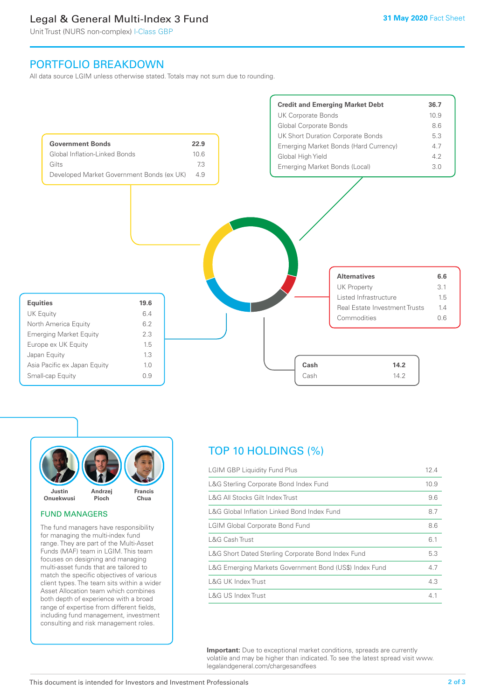# Legal & General Multi-Index 3 Fund

Unit Trust (NURS non-complex) I-Class GBP

# PORTFOLIO BREAKDOWN

All data source LGIM unless otherwise stated. Totals may not sum due to rounding.





#### FUND MANAGERS

The fund managers have responsibility for managing the multi-index fund range. They are part of the Multi-Asset Funds (MAF) team in LGIM. This team focuses on designing and managing multi-asset funds that are tailored to match the specific objectives of various client types. The team sits within a wider Asset Allocation team which combines both depth of experience with a broad range of expertise from different fields, including fund management, investment consulting and risk management roles.

# TOP 10 HOLDINGS (%)

| <b>LGIM GBP Liquidity Fund Plus</b>                    | 12.4 |
|--------------------------------------------------------|------|
| L&G Sterling Corporate Bond Index Fund                 | 10.9 |
| L&G All Stocks Gilt Index Trust                        | 9.6  |
| L&G Global Inflation Linked Bond Index Fund            | 8.7  |
| <b>LGIM Global Corporate Bond Fund</b>                 | 8.6  |
| L&G Cash Trust                                         | 6.1  |
| L&G Short Dated Sterling Corporate Bond Index Fund     | 5.3  |
| L&G Emerging Markets Government Bond (US\$) Index Fund | 4.7  |
| <b>L&amp;G UK Index Trust</b>                          | 4.3  |
| <b>L&amp;G US Index Trust</b>                          | 4.1  |

**Important:** Due to exceptional market conditions, spreads are currently volatile and may be higher than indicated. To see the latest spread visit www. legalandgeneral.com/chargesandfees